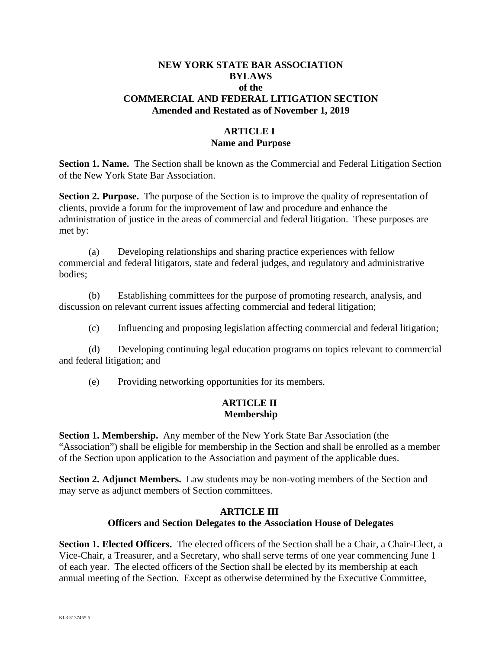#### **NEW YORK STATE BAR ASSOCIATION BYLAWS of the COMMERCIAL AND FEDERAL LITIGATION SECTION Amended and Restated as of November 1, 2019**

# **ARTICLE I Name and Purpose**

**Section 1. Name.** The Section shall be known as the Commercial and Federal Litigation Section of the New York State Bar Association.

**Section 2. Purpose.** The purpose of the Section is to improve the quality of representation of clients, provide a forum for the improvement of law and procedure and enhance the administration of justice in the areas of commercial and federal litigation. These purposes are met by:

(a) Developing relationships and sharing practice experiences with fellow commercial and federal litigators, state and federal judges, and regulatory and administrative bodies;

(b) Establishing committees for the purpose of promoting research, analysis, and discussion on relevant current issues affecting commercial and federal litigation;

(c) Influencing and proposing legislation affecting commercial and federal litigation;

(d) Developing continuing legal education programs on topics relevant to commercial and federal litigation; and

(e) Providing networking opportunities for its members.

#### **ARTICLE II Membership**

**Section 1. Membership.** Any member of the New York State Bar Association (the "Association") shall be eligible for membership in the Section and shall be enrolled as a member of the Section upon application to the Association and payment of the applicable dues.

**Section 2. Adjunct Members.** Law students may be non-voting members of the Section and may serve as adjunct members of Section committees.

#### **ARTICLE III**

#### **Officers and Section Delegates to the Association House of Delegates**

**Section 1. Elected Officers.** The elected officers of the Section shall be a Chair, a Chair-Elect, a Vice-Chair, a Treasurer, and a Secretary, who shall serve terms of one year commencing June 1 of each year. The elected officers of the Section shall be elected by its membership at each annual meeting of the Section. Except as otherwise determined by the Executive Committee,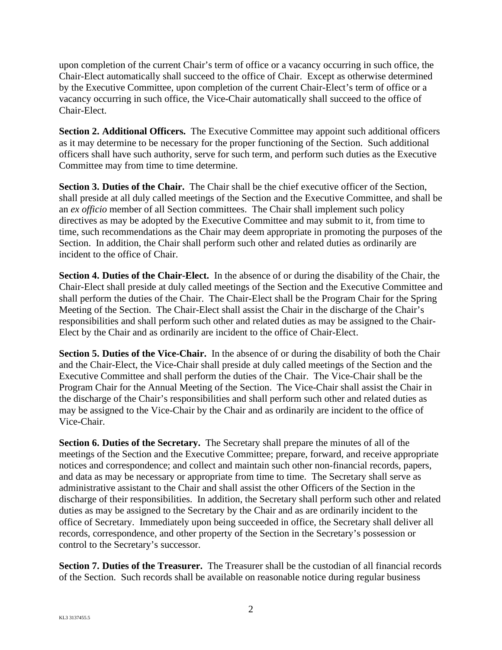upon completion of the current Chair's term of office or a vacancy occurring in such office, the Chair-Elect automatically shall succeed to the office of Chair. Except as otherwise determined by the Executive Committee, upon completion of the current Chair-Elect's term of office or a vacancy occurring in such office, the Vice-Chair automatically shall succeed to the office of Chair-Elect.

**Section 2. Additional Officers.** The Executive Committee may appoint such additional officers as it may determine to be necessary for the proper functioning of the Section. Such additional officers shall have such authority, serve for such term, and perform such duties as the Executive Committee may from time to time determine.

**Section 3. Duties of the Chair.** The Chair shall be the chief executive officer of the Section, shall preside at all duly called meetings of the Section and the Executive Committee, and shall be an *ex officio* member of all Section committees. The Chair shall implement such policy directives as may be adopted by the Executive Committee and may submit to it, from time to time, such recommendations as the Chair may deem appropriate in promoting the purposes of the Section. In addition, the Chair shall perform such other and related duties as ordinarily are incident to the office of Chair.

**Section 4. Duties of the Chair-Elect.** In the absence of or during the disability of the Chair, the Chair-Elect shall preside at duly called meetings of the Section and the Executive Committee and shall perform the duties of the Chair. The Chair-Elect shall be the Program Chair for the Spring Meeting of the Section. The Chair-Elect shall assist the Chair in the discharge of the Chair's responsibilities and shall perform such other and related duties as may be assigned to the Chair-Elect by the Chair and as ordinarily are incident to the office of Chair-Elect.

**Section 5. Duties of the Vice-Chair.** In the absence of or during the disability of both the Chair and the Chair-Elect, the Vice-Chair shall preside at duly called meetings of the Section and the Executive Committee and shall perform the duties of the Chair. The Vice-Chair shall be the Program Chair for the Annual Meeting of the Section. The Vice-Chair shall assist the Chair in the discharge of the Chair's responsibilities and shall perform such other and related duties as may be assigned to the Vice-Chair by the Chair and as ordinarily are incident to the office of Vice-Chair.

**Section 6. Duties of the Secretary.** The Secretary shall prepare the minutes of all of the meetings of the Section and the Executive Committee; prepare, forward, and receive appropriate notices and correspondence; and collect and maintain such other non-financial records, papers, and data as may be necessary or appropriate from time to time. The Secretary shall serve as administrative assistant to the Chair and shall assist the other Officers of the Section in the discharge of their responsibilities. In addition, the Secretary shall perform such other and related duties as may be assigned to the Secretary by the Chair and as are ordinarily incident to the office of Secretary. Immediately upon being succeeded in office, the Secretary shall deliver all records, correspondence, and other property of the Section in the Secretary's possession or control to the Secretary's successor.

**Section 7. Duties of the Treasurer.** The Treasurer shall be the custodian of all financial records of the Section. Such records shall be available on reasonable notice during regular business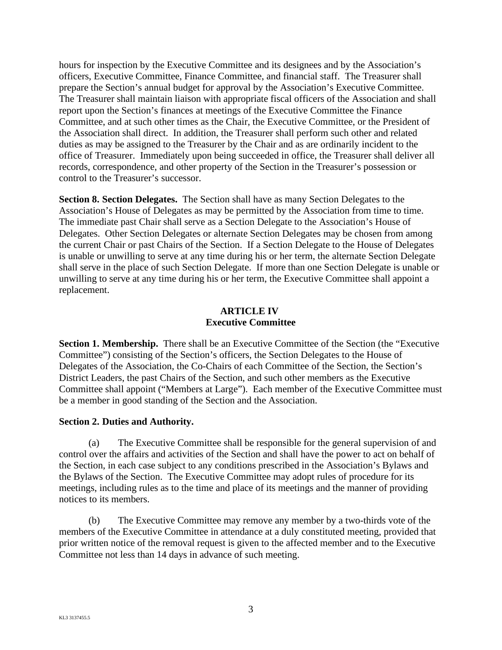hours for inspection by the Executive Committee and its designees and by the Association's officers, Executive Committee, Finance Committee, and financial staff. The Treasurer shall prepare the Section's annual budget for approval by the Association's Executive Committee. The Treasurer shall maintain liaison with appropriate fiscal officers of the Association and shall report upon the Section's finances at meetings of the Executive Committee the Finance Committee, and at such other times as the Chair, the Executive Committee, or the President of the Association shall direct. In addition, the Treasurer shall perform such other and related duties as may be assigned to the Treasurer by the Chair and as are ordinarily incident to the office of Treasurer. Immediately upon being succeeded in office, the Treasurer shall deliver all records, correspondence, and other property of the Section in the Treasurer's possession or control to the Treasurer's successor.

**Section 8. Section Delegates.** The Section shall have as many Section Delegates to the Association's House of Delegates as may be permitted by the Association from time to time. The immediate past Chair shall serve as a Section Delegate to the Association's House of Delegates. Other Section Delegates or alternate Section Delegates may be chosen from among the current Chair or past Chairs of the Section. If a Section Delegate to the House of Delegates is unable or unwilling to serve at any time during his or her term, the alternate Section Delegate shall serve in the place of such Section Delegate. If more than one Section Delegate is unable or unwilling to serve at any time during his or her term, the Executive Committee shall appoint a replacement.

### **ARTICLE IV Executive Committee**

**Section 1. Membership.** There shall be an Executive Committee of the Section (the "Executive" Committee") consisting of the Section's officers, the Section Delegates to the House of Delegates of the Association, the Co-Chairs of each Committee of the Section, the Section's District Leaders, the past Chairs of the Section, and such other members as the Executive Committee shall appoint ("Members at Large"). Each member of the Executive Committee must be a member in good standing of the Section and the Association.

# **Section 2. Duties and Authority.**

(a) The Executive Committee shall be responsible for the general supervision of and control over the affairs and activities of the Section and shall have the power to act on behalf of the Section, in each case subject to any conditions prescribed in the Association's Bylaws and the Bylaws of the Section. The Executive Committee may adopt rules of procedure for its meetings, including rules as to the time and place of its meetings and the manner of providing notices to its members.

(b) The Executive Committee may remove any member by a two-thirds vote of the members of the Executive Committee in attendance at a duly constituted meeting, provided that prior written notice of the removal request is given to the affected member and to the Executive Committee not less than 14 days in advance of such meeting.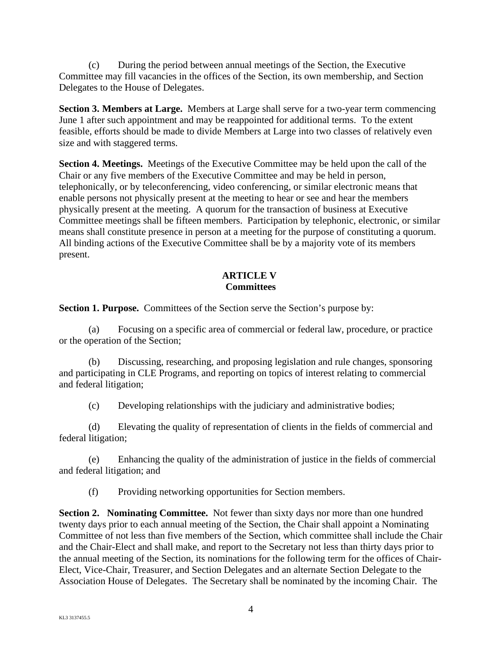(c) During the period between annual meetings of the Section, the Executive Committee may fill vacancies in the offices of the Section, its own membership, and Section Delegates to the House of Delegates.

**Section 3. Members at Large.** Members at Large shall serve for a two-year term commencing June 1 after such appointment and may be reappointed for additional terms. To the extent feasible, efforts should be made to divide Members at Large into two classes of relatively even size and with staggered terms.

**Section 4. Meetings.** Meetings of the Executive Committee may be held upon the call of the Chair or any five members of the Executive Committee and may be held in person, telephonically, or by teleconferencing, video conferencing, or similar electronic means that enable persons not physically present at the meeting to hear or see and hear the members physically present at the meeting. A quorum for the transaction of business at Executive Committee meetings shall be fifteen members. Participation by telephonic, electronic, or similar means shall constitute presence in person at a meeting for the purpose of constituting a quorum. All binding actions of the Executive Committee shall be by a majority vote of its members present.

# **ARTICLE V Committees**

**Section 1. Purpose.** Committees of the Section serve the Section's purpose by:

(a) Focusing on a specific area of commercial or federal law, procedure, or practice or the operation of the Section;

(b) Discussing, researching, and proposing legislation and rule changes, sponsoring and participating in CLE Programs, and reporting on topics of interest relating to commercial and federal litigation;

(c) Developing relationships with the judiciary and administrative bodies;

(d) Elevating the quality of representation of clients in the fields of commercial and federal litigation;

(e) Enhancing the quality of the administration of justice in the fields of commercial and federal litigation; and

(f) Providing networking opportunities for Section members.

**Section 2. Nominating Committee.** Not fewer than sixty days nor more than one hundred twenty days prior to each annual meeting of the Section, the Chair shall appoint a Nominating Committee of not less than five members of the Section, which committee shall include the Chair and the Chair-Elect and shall make, and report to the Secretary not less than thirty days prior to the annual meeting of the Section, its nominations for the following term for the offices of Chair-Elect, Vice-Chair, Treasurer, and Section Delegates and an alternate Section Delegate to the Association House of Delegates. The Secretary shall be nominated by the incoming Chair. The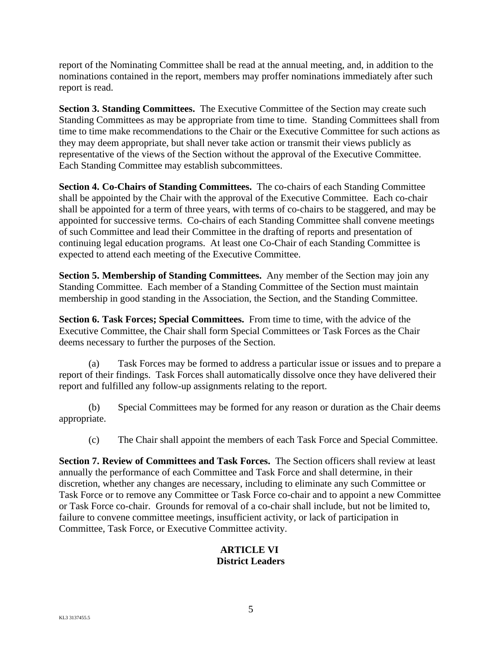report of the Nominating Committee shall be read at the annual meeting, and, in addition to the nominations contained in the report, members may proffer nominations immediately after such report is read.

**Section 3. Standing Committees.** The Executive Committee of the Section may create such Standing Committees as may be appropriate from time to time. Standing Committees shall from time to time make recommendations to the Chair or the Executive Committee for such actions as they may deem appropriate, but shall never take action or transmit their views publicly as representative of the views of the Section without the approval of the Executive Committee. Each Standing Committee may establish subcommittees.

**Section 4. Co-Chairs of Standing Committees.** The co-chairs of each Standing Committee shall be appointed by the Chair with the approval of the Executive Committee. Each co-chair shall be appointed for a term of three years, with terms of co-chairs to be staggered, and may be appointed for successive terms. Co-chairs of each Standing Committee shall convene meetings of such Committee and lead their Committee in the drafting of reports and presentation of continuing legal education programs. At least one Co-Chair of each Standing Committee is expected to attend each meeting of the Executive Committee.

**Section 5. Membership of Standing Committees.** Any member of the Section may join any Standing Committee. Each member of a Standing Committee of the Section must maintain membership in good standing in the Association, the Section, and the Standing Committee.

**Section 6. Task Forces; Special Committees.** From time to time, with the advice of the Executive Committee, the Chair shall form Special Committees or Task Forces as the Chair deems necessary to further the purposes of the Section.

(a) Task Forces may be formed to address a particular issue or issues and to prepare a report of their findings. Task Forces shall automatically dissolve once they have delivered their report and fulfilled any follow-up assignments relating to the report.

(b) Special Committees may be formed for any reason or duration as the Chair deems appropriate.

(c) The Chair shall appoint the members of each Task Force and Special Committee.

**Section 7. Review of Committees and Task Forces.** The Section officers shall review at least annually the performance of each Committee and Task Force and shall determine, in their discretion, whether any changes are necessary, including to eliminate any such Committee or Task Force or to remove any Committee or Task Force co-chair and to appoint a new Committee or Task Force co-chair. Grounds for removal of a co-chair shall include, but not be limited to, failure to convene committee meetings, insufficient activity, or lack of participation in Committee, Task Force, or Executive Committee activity.

# **ARTICLE VI District Leaders**